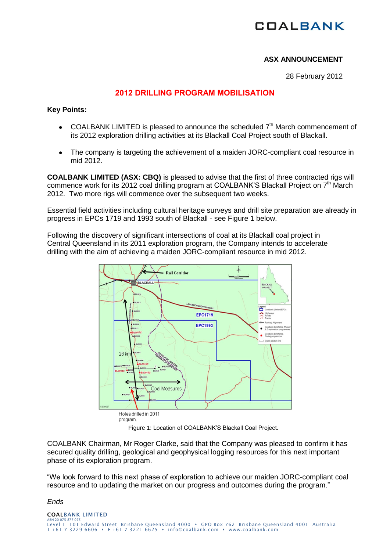## **COALBANK**

## **ASX ANNOUNCEMENT**

28 February 2012

## **2012 DRILLING PROGRAM MOBILISATION**

**Key Points:**

- COALBANK LIMITED is pleased to announce the scheduled  $7<sup>th</sup>$  March commencement of its 2012 exploration drilling activities at its Blackall Coal Project south of Blackall.
- The company is targeting the achievement of a maiden JORC-compliant coal resource in  $\bullet$ mid 2012.

**COALBANK LIMITED (ASX: CBQ)** is pleased to advise that the first of three contracted rigs will commence work for its 2012 coal drilling program at COALBANK'S Blackall Project on 7<sup>th</sup> March 2012. Two more rigs will commence over the subsequent two weeks.

Essential field activities including cultural heritage surveys and drill site preparation are already in progress in EPCs 1719 and 1993 south of Blackall - see Figure 1 below.

Following the discovery of significant intersections of coal at its Blackall coal project in Central Queensland in its 2011 exploration program, the Company intends to accelerate drilling with the aim of achieving a maiden JORC-compliant resource in mid 2012.



Figure 1: Location of COALBANK'S Blackall Coal Project.

COALBANK Chairman, Mr Roger Clarke, said that the Company was pleased to confirm it has secured quality drilling, geological and geophysical logging resources for this next important phase of its exploration program.

"We look forward to this next phase of exploration to achieve our maiden JORC-compliant coal resource and to updating the market on our progress and outcomes during the program."

*Ends*